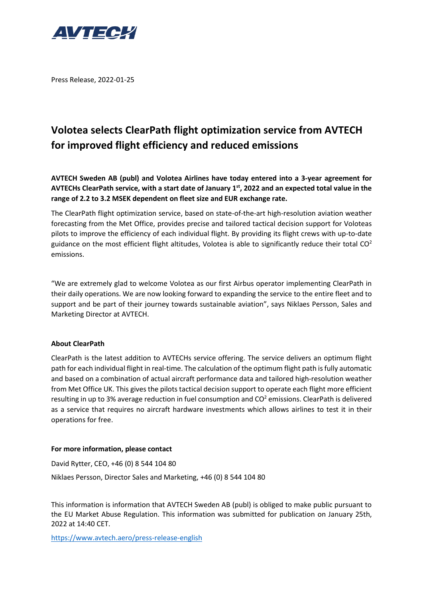

Press Release, 2022-01-25

# **Volotea selects ClearPath flight optimization service from AVTECH for improved flight efficiency and reduced emissions**

**AVTECH Sweden AB (publ) and Volotea Airlines have today entered into a 3-year agreement for AVTECHs ClearPath service, with a start date of January 1 st , 2022 and an expected total value in the range of 2.2 to 3.2 MSEK dependent on fleet size and EUR exchange rate.**

The ClearPath flight optimization service, based on state-of-the-art high-resolution aviation weather forecasting from the Met Office, provides precise and tailored tactical decision support for Voloteas pilots to improve the efficiency of each individual flight. By providing its flight crews with up-to-date guidance on the most efficient flight altitudes, Volotea is able to significantly reduce their total  $CO<sup>2</sup>$ emissions.

"We are extremely glad to welcome Volotea as our first Airbus operator implementing ClearPath in their daily operations. We are now looking forward to expanding the service to the entire fleet and to support and be part of their journey towards sustainable aviation", says Niklaes Persson, Sales and Marketing Director at AVTECH.

# **About ClearPath**

ClearPath is the latest addition to AVTECHs service offering. The service delivers an optimum flight path for each individual flight in real-time. The calculation of the optimum flight path is fully automatic and based on a combination of actual aircraft performance data and tailored high-resolution weather from Met Office UK. This gives the pilots tactical decision support to operate each flight more efficient resulting in up to 3% average reduction in fuel consumption and CO<sup>2</sup> emissions. ClearPath is delivered as a service that requires no aircraft hardware investments which allows airlines to test it in their operations for free.

# **For more information, please contact**

David Rytter, CEO, +46 (0) 8 544 104 80 Niklaes Persson, Director Sales and Marketing, +46 (0) 8 544 104 80

This information is information that AVTECH Sweden AB (publ) is obliged to make public pursuant to the EU Market Abuse Regulation. This information was submitted for publication on January 25th, 2022 at 14:40 CET.

<https://www.avtech.aero/press-release-english>